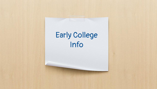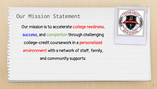

## Our Mission Statement

Our mission is to accelerate college readiness,

success, and completion through challenging

college-credit coursework in a personalized

environment with a network of staff, family,

and community supports.

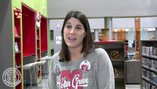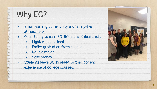

# Why EC?

- ✗ Small learning community and family-like atmosphere
- ✗ Opportunity to earn 30-60 hours of dual credit
	- ✗ Lighter college load
	- ✗ Earlier graduation from college
	- ✗ Double major
	- ✗ Save money
- ✗ Students leave CGHS ready for the rigor and experience of college courses.

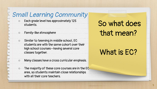## Small Learning Community

- Each grade level has approximately 125 students.
- Family-like atmosphere
- Similar to teaming in middle school, EC students are with the same cohort over their high school courses--having several core classes together.
- Many classes have a cross curricular emphasis.
- The majority of these core courses are in the EC area, so students maintain close relationships with all their core teachers.

## So what does that mean?

## What is EC?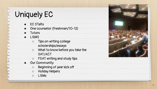## Uniquely EC

- **EC STaRs**
- One counselor (freshman/10-12)
- **Tutors**
- **LGMS** 
	- Tips on writing college scholarships/essays
	- What to know before you take the SAT/ACT
	- PSAT writing and study tips
- **Our Community** 
	- Beginning of year kick off
	- Holiday Helpers
	- LGMs

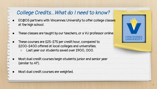### College Credits...What do I need to know?

- EC@CG partners with Vincennes University to offer college classes at the high school.
- These classes are taught by our teachers, or a VU professor online.
- These courses are \$25-\$75 per credit hour, compared to \$200-\$400 offered at local colleges and universities.
	- Last year our students saved over \$900, 000.
- Most dual credit courses begin students junior and senior year (similar to AP).
- Most dual credit courses are weighted.



7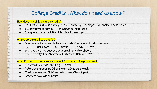### College Credits...What do I need to know?

#### How does my child earn the credit?

- Students must first qualify for the course by meeting the Accuplacer test score.
- Students must earn a "C" or better in the course.
- The grade is a part of the high school transcript.

#### Where do the credits transfer?

- Classes are transferable to public institutions in and out of Indiana.
	- IU, Ball State, IUPUI, Purdue, USI, UIndy, UK, etc.
- We have also had success with small, private schools
	- Liberty, FC, Anderson, Lipscomb, Hanover, etc.

#### What if my child needs extra support for these college courses?

- VU provides a math and English tutor.
- Tutors are housed at CG and work 20 hours a week.
- Most courses aren't taken until Junior/Senior year.
- Teachers have office hours.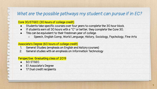### What are the possible pathways my student can pursue if in EC?

#### Core 30/STGEC (30 hours of college credit)

- Students take specific courses over four years to complete the 30 hour block.
- If students earn all 30 hours with a "C" or better, they complete the Core 30.
- This can be equivalent to their freshman year of college.
	- Speech, English Comp, World Language, History, Sociology, Psychology, Fine Arts

#### Associate's Degree (60 hours of college credit)

- 1. General Studies (emphasis on English and history courses)
- 2. General studies with an emphasis on Information Technology

#### Perspective: Graduating class of 2019

- 50 STGEC
- 51 Associate's Degree
- 17 Dual credit recipients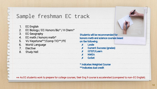### Sample freshman EC track

- 1. EC English
- 2. EC Biology / EC Honors Bio\* / H Chem\*
- 3. EC Geography
- 4. EC math / honors math\*
- 5. VU Keystone\*\*/Comp 110\*\*/PE
- 6. World Language
- 7. Elective
- 8. Study Hall

Students will be recommended for honors math and science courses based on the following:

- ✗ Lexile ✗ Current Success (grades) ✗ ISTEP/ILearn
- **NWEA CoGat**

\* Indicates Weighted Course \*\*Indicates dual credit

++ As EC students work to prepare for college courses, their Eng 9 course is accelerated (compared to non-EC English).